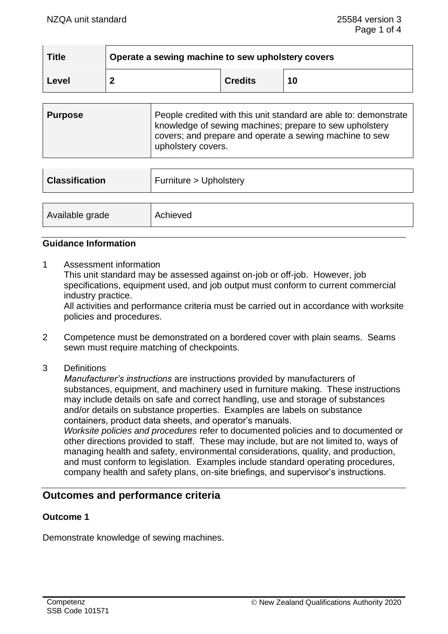| <b>Title</b> | Operate a sewing machine to sew upholstery covers |                |    |
|--------------|---------------------------------------------------|----------------|----|
| Level        | ◠                                                 | <b>Credits</b> | 10 |

| <b>Purpose</b> | People credited with this unit standard are able to: demonstrate<br>knowledge of sewing machines; prepare to sew upholstery<br>covers; and prepare and operate a sewing machine to sew |
|----------------|----------------------------------------------------------------------------------------------------------------------------------------------------------------------------------------|
|                | upholstery covers.                                                                                                                                                                     |

| <b>Classification</b> | Furniture > Upholstery |
|-----------------------|------------------------|
|                       |                        |
| Available grade       | Achieved               |

## **Guidance Information**

1 Assessment information

This unit standard may be assessed against on-job or off-job. However, job specifications, equipment used, and job output must conform to current commercial industry practice.

All activities and performance criteria must be carried out in accordance with worksite policies and procedures.

- 2 Competence must be demonstrated on a bordered cover with plain seams. Seams sewn must require matching of checkpoints.
- 3 Definitions

*Manufacturer's instructions* are instructions provided by manufacturers of substances, equipment, and machinery used in furniture making. These instructions may include details on safe and correct handling, use and storage of substances and/or details on substance properties. Examples are labels on substance containers, product data sheets, and operator's manuals.

*Worksite policies and procedures* refer to documented policies and to documented or other directions provided to staff. These may include, but are not limited to, ways of managing health and safety, environmental considerations, quality, and production, and must conform to legislation. Examples include standard operating procedures, company health and safety plans, on-site briefings, and supervisor's instructions.

# **Outcomes and performance criteria**

## **Outcome 1**

Demonstrate knowledge of sewing machines.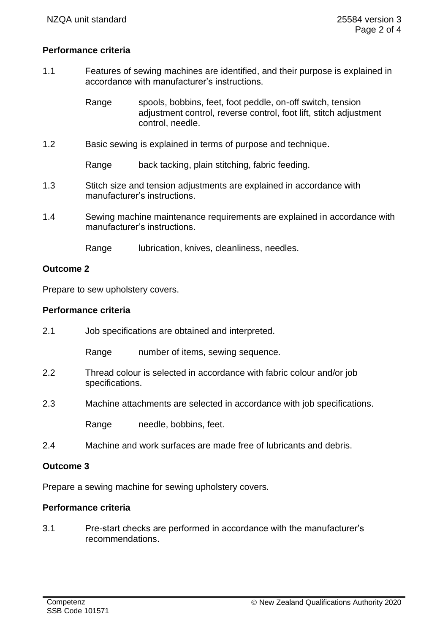# **Performance criteria**

1.1 Features of sewing machines are identified, and their purpose is explained in accordance with manufacturer's instructions.

> Range spools, bobbins, feet, foot peddle, on-off switch, tension adjustment control, reverse control, foot lift, stitch adjustment control, needle.

1.2 Basic sewing is explained in terms of purpose and technique.

Range back tacking, plain stitching, fabric feeding.

- 1.3 Stitch size and tension adjustments are explained in accordance with manufacturer's instructions.
- 1.4 Sewing machine maintenance requirements are explained in accordance with manufacturer's instructions.

Range lubrication, knives, cleanliness, needles.

## **Outcome 2**

Prepare to sew upholstery covers.

# **Performance criteria**

| 2.1 |                 | Job specifications are obtained and interpreted.                        |
|-----|-----------------|-------------------------------------------------------------------------|
|     | Range           | number of items, sewing sequence.                                       |
| 2.2 | specifications. | Thread colour is selected in accordance with fabric colour and/or job   |
| 2.3 |                 | Machine attachments are selected in accordance with job specifications. |
|     | Range           | needle, bobbins, feet.                                                  |
| 2.4 |                 | Machine and work surfaces are made free of lubricants and debris.       |

#### **Outcome 3**

Prepare a sewing machine for sewing upholstery covers.

# **Performance criteria**

3.1 Pre-start checks are performed in accordance with the manufacturer's recommendations.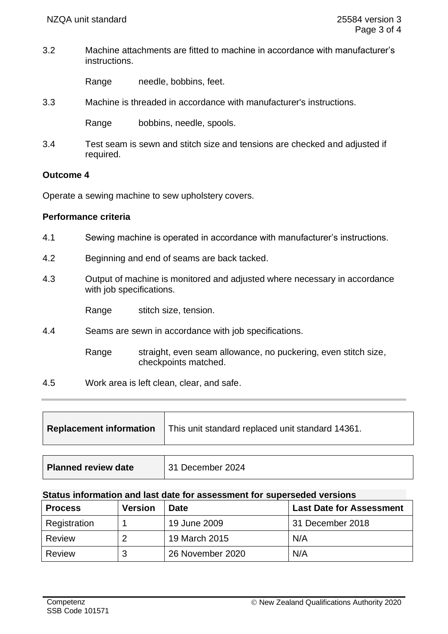3.2 Machine attachments are fitted to machine in accordance with manufacturer's instructions.

Range needle, bobbins, feet.

3.3 Machine is threaded in accordance with manufacturer's instructions.

Range bobbins, needle, spools.

3.4 Test seam is sewn and stitch size and tensions are checked and adjusted if required.

### **Outcome 4**

Operate a sewing machine to sew upholstery covers.

### **Performance criteria**

- 4.1 Sewing machine is operated in accordance with manufacturer's instructions.
- 4.2 Beginning and end of seams are back tacked.
- 4.3 Output of machine is monitored and adjusted where necessary in accordance with job specifications.

Range stitch size, tension.

- 4.4 Seams are sewn in accordance with job specifications.
	- Range straight, even seam allowance, no puckering, even stitch size, checkpoints matched.
- 4.5 Work area is left clean, clear, and safe.

| Replacement information   This unit standard replaced unit standard 14361. |
|----------------------------------------------------------------------------|
|----------------------------------------------------------------------------|

| <b>Planned review date</b> | 31 December 2024 |
|----------------------------|------------------|
|----------------------------|------------------|

## **Status information and last date for assessment for superseded versions**

| <b>Process</b> | <b>Version</b> | <b>Date</b>      | <b>Last Date for Assessment</b> |
|----------------|----------------|------------------|---------------------------------|
| Registration   |                | 19 June 2009     | 31 December 2018                |
| Review         |                | 19 March 2015    | N/A                             |
| Review         | ີ<br>w         | 26 November 2020 | N/A                             |